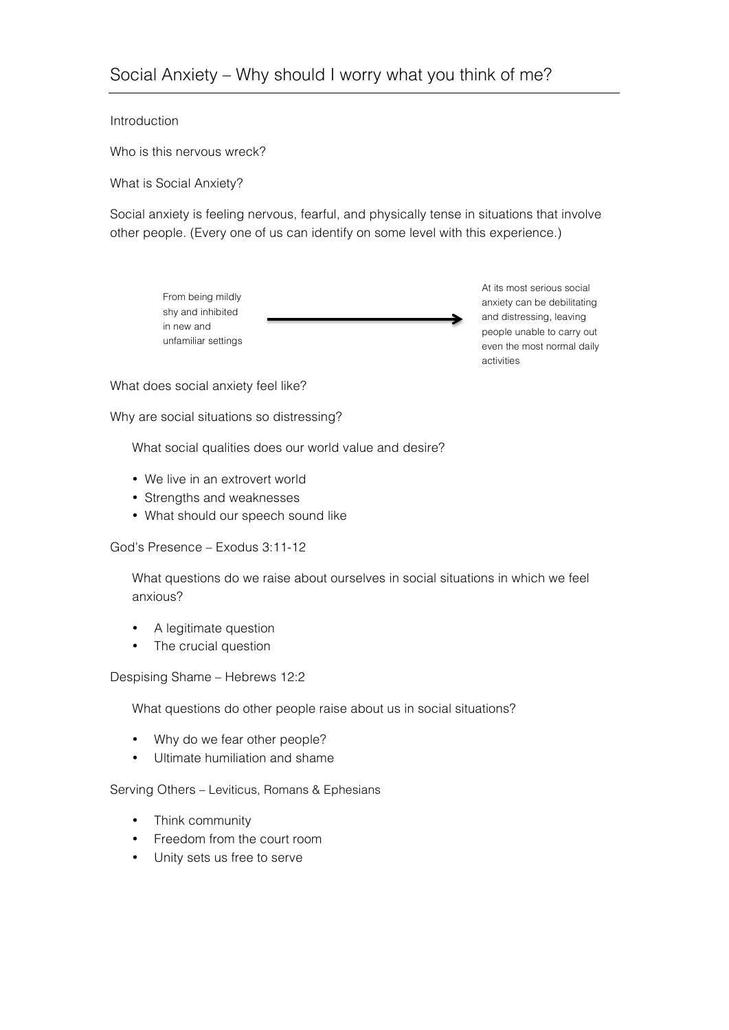# Introduction

Who is this nervous wreck?

What is Social Anxiety?

Social anxiety is feeling nervous, fearful, and physically tense in situations that involve other people. (Every one of us can identify on some level with this experience.)



At its most serious social anxiety can be debilitating and distressing, leaving people unable to carry out even the most normal daily activities

What does social anxiety feel like?

Why are social situations so distressing?

What social qualities does our world value and desire?

- We live in an extrovert world
- Strengths and weaknesses
- What should our speech sound like

## God's Presence – Exodus 3:11-12

What questions do we raise about ourselves in social situations in which we feel anxious?

- A legitimate question
- The crucial question

## Despising Shame – Hebrews 12:2

What questions do other people raise about us in social situations?

- Why do we fear other people?
- Ultimate humiliation and shame

## Serving Others – Leviticus, Romans & Ephesians

- Think community
- Freedom from the court room
- Unity sets us free to serve